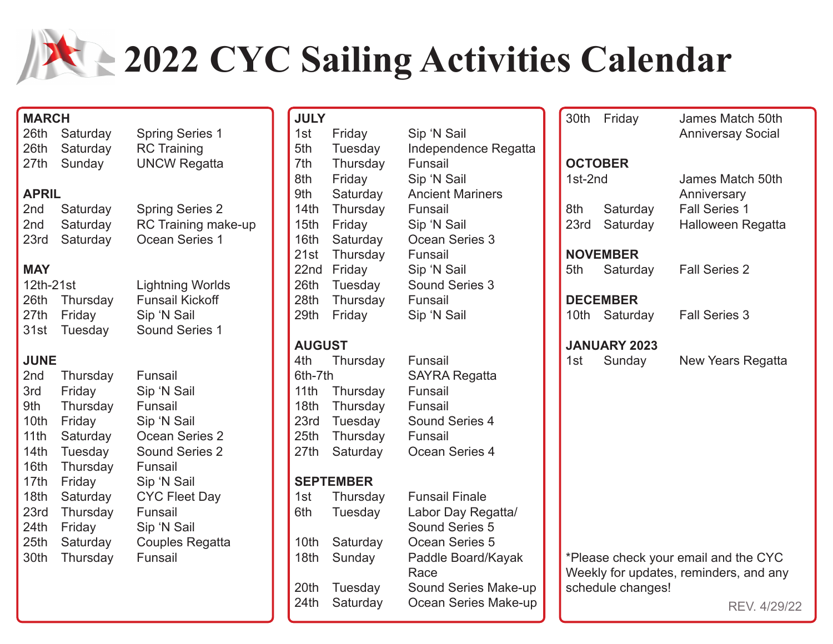# **2022 CYC Sailing Activities Calendar**

26th Saturday Spring Series 1

### 26th Saturday RC Training 27th Sunday UNCW Regatta

2nd Saturday Spring Series 2 2nd Saturday RC Training make-up 23rd Saturday Ocean Series 1

#### **MAY**

**APRIL**

| 12th-21st |               | <b>Lightning Worlds</b> |  |  |  |  |
|-----------|---------------|-------------------------|--|--|--|--|
|           | 26th Thursday | <b>Funsail Kickoff</b>  |  |  |  |  |
|           | 27th Friday   | Sip 'N Sail             |  |  |  |  |
|           | 31st Tuesday  | Sound Series 1          |  |  |  |  |

#### **JUNE**

| 2 <sub>nd</sub>  | Thursday | Funsail                |
|------------------|----------|------------------------|
| 3rd              | Friday   | Sip 'N Sail            |
| 9th              | Thursday | Funsail                |
| 10th             | Friday   | Sip 'N Sail            |
| 11th             | Saturday | Ocean Series 2         |
| 14th             | Tuesday  | <b>Sound Series 2</b>  |
| 16th             | Thursday | Funsail                |
| 17th             | Friday   | Sip 'N Sail            |
| 18th             | Saturday | <b>CYC Fleet Day</b>   |
| 23rd             | Thursday | Funsail                |
| 24th             | Friday   | Sip 'N Sail            |
| 25 <sub>th</sub> | Saturday | <b>Couples Regatta</b> |
| 30th             | Thursday | Funsail                |

| <b>JULY</b>      |                     |                                 |  | 30th                | Friday                                                      |                      | James Match 50th         |
|------------------|---------------------|---------------------------------|--|---------------------|-------------------------------------------------------------|----------------------|--------------------------|
| 1st              | Friday              | Sip 'N Sail                     |  |                     |                                                             |                      | <b>Anniversay Social</b> |
| 5th<br>7th       | Tuesday<br>Thursday | Independence Regatta<br>Funsail |  |                     | <b>OCTOBER</b>                                              |                      |                          |
| 8th              | Friday              | Sip 'N Sail                     |  | 1st-2nd             |                                                             |                      | James Match 50th         |
| 9th              | Saturday            | <b>Ancient Mariners</b>         |  |                     |                                                             | Anniversary          |                          |
| 14 <sub>th</sub> | Thursday            | Funsail                         |  | 8th                 | Saturday                                                    | <b>Fall Series 1</b> |                          |
| 15 <sub>th</sub> | Friday              | Sip 'N Sail                     |  | 23rd                | Saturday                                                    |                      | Halloween Regatta        |
| 16th             | Saturday            | Ocean Series 3                  |  |                     |                                                             |                      |                          |
| 21st             | Thursday            | Funsail                         |  |                     | <b>NOVEMBER</b>                                             |                      |                          |
| 22nd             | Friday              | Sip 'N Sail                     |  | 5th                 | Saturday                                                    | <b>Fall Series 2</b> |                          |
| 26th             | Tuesday             | Sound Series 3                  |  |                     |                                                             |                      |                          |
| 28th             | Thursday            | Funsail                         |  |                     | <b>DECEMBER</b>                                             |                      |                          |
| 29th             | Friday              | Sip 'N Sail                     |  | 10th                | Saturday                                                    | <b>Fall Series 3</b> |                          |
|                  | <b>AUGUST</b>       |                                 |  | <b>JANUARY 2023</b> |                                                             |                      |                          |
| 4th              | Thursday            | Funsail                         |  | 1st                 | Sunday                                                      |                      | New Years Regatta        |
| 6th-7th          |                     | <b>SAYRA Regatta</b>            |  |                     |                                                             |                      |                          |
| 11 <sub>th</sub> | Thursday            | Funsail                         |  |                     |                                                             |                      |                          |
| 18 <sub>th</sub> | Thursday            | Funsail                         |  |                     |                                                             |                      |                          |
| 23rd             | Tuesday             | Sound Series 4                  |  |                     |                                                             |                      |                          |
| 25th<br>27th     | Thursday            | Funsail                         |  |                     |                                                             |                      |                          |
|                  | Saturday            | Ocean Series 4                  |  |                     |                                                             |                      |                          |
|                  | <b>SEPTEMBER</b>    |                                 |  |                     |                                                             |                      |                          |
| 1st              | Thursday            | <b>Funsail Finale</b>           |  |                     |                                                             |                      |                          |
| 6th              | Tuesday             | Labor Day Regatta/              |  |                     |                                                             |                      |                          |
|                  |                     | Sound Series 5                  |  |                     |                                                             |                      |                          |
| 10th             | Saturday            | Ocean Series 5                  |  |                     |                                                             |                      |                          |
| 18th             | Sunday              | Paddle Board/Kayak              |  |                     | *Please check your email and the CYC                        |                      |                          |
| 20th             | Tuesday             | Race<br>Sound Series Make-up    |  |                     | Weekly for updates, reminders, and any<br>schedule changes! |                      |                          |
| 24th             | Saturday            | Ocean Series Make-up            |  |                     |                                                             |                      |                          |
|                  |                     |                                 |  |                     |                                                             |                      | RFV 4/29/2               |